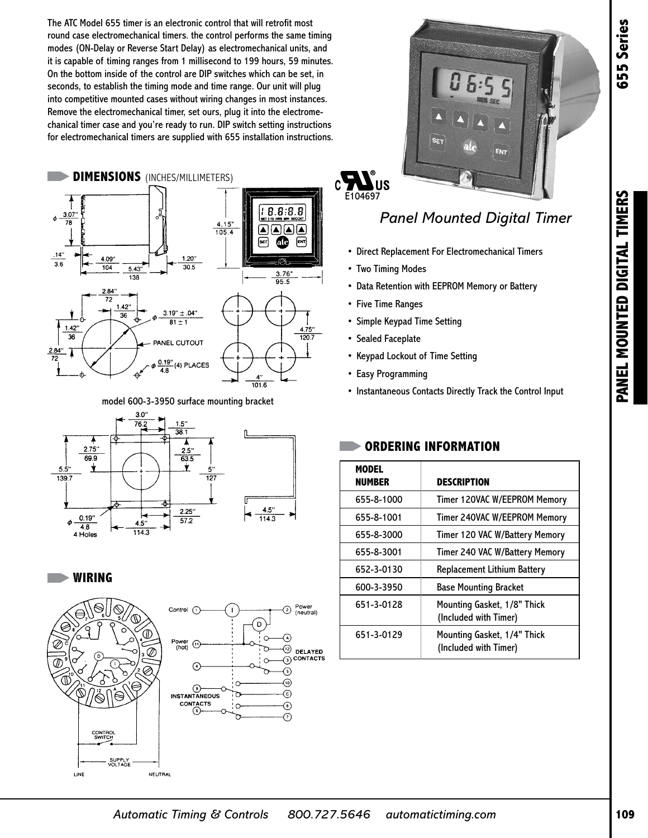The ATC Model 655 timer is an electronic control that will retrofit most round case electromechanical timers. the control performs the same timing modes (ON-Delay or Reverse Start Delay) as electromechanical units, and it is capable of timing ranges from 1 millisecond to 199 hours, 59 minutes. On the bottom inside of the control are DIP switches which can be set, in seconds, to establish the timing mode and time range. Our unit will plug into competitive mounted cases without wiring changes in most instances. Remove the electromechanical timer, set ours, plug it into the electromechanical timer case and you're ready to run. DIP switch setting instructions for electromechanical timers are supplied with 655 installation instructions.



model 600-3-3950 surface mounting bracket











# E104697

## *Panel Mounted Digital Timer*

- Direct Replacement For Electromechanical Timers
- Two Timing Modes
- Data Retention with EEPROM Memory or Battery
- Five Time Ranges
- Simple Keypad Time Setting
- Sealed Faceplate
- Keypad Lockout of Time Setting
- Easy Programming
- Instantaneous Contacts Directly Track the Control Input

## **ORDERING INFORMATION**

| <b>MODEL</b><br><b>NUMBER</b> | <b>DESCRIPTION</b>                                   |
|-------------------------------|------------------------------------------------------|
| 655-8-1000                    | Timer 120VAC W/EEPROM Memory                         |
| 655-8-1001                    | Timer 240VAC W/EEPROM Memory                         |
| 655-8-3000                    | Timer 120 VAC W/Battery Memory                       |
| 655-8-3001                    | Timer 240 VAC W/Battery Memory                       |
| 652-3-0130                    | <b>Replacement Lithium Battery</b>                   |
| 600-3-3950                    | <b>Base Mounting Bracket</b>                         |
| 651-3-0128                    | Mounting Gasket, 1/8" Thick<br>(Included with Timer) |
| 651-3-0129                    | Mounting Gasket, 1/4" Thick<br>(Included with Timer) |